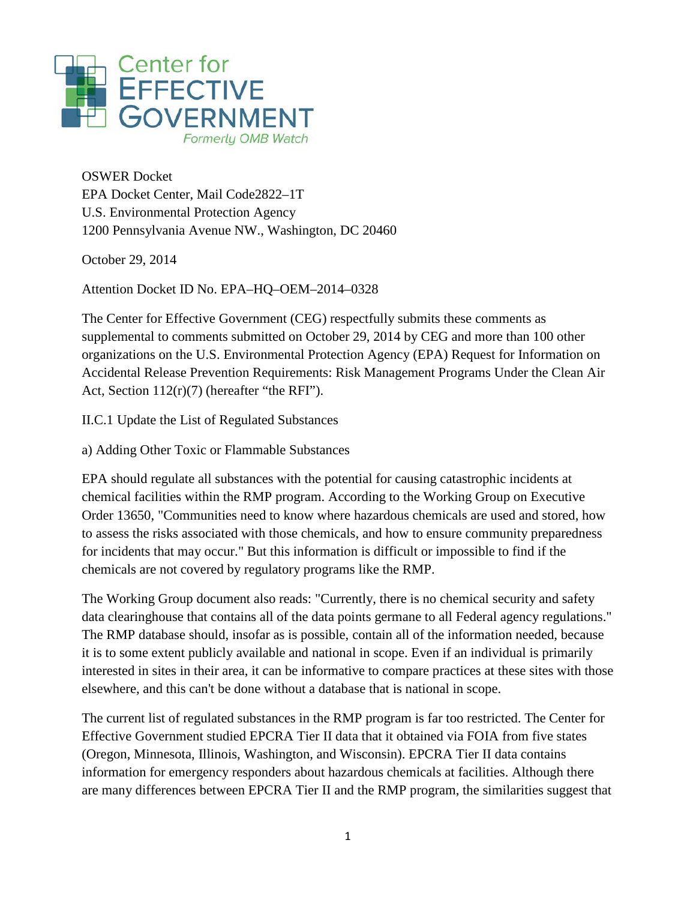

OSWER Docket EPA Docket Center, Mail Code2822–1T U.S. Environmental Protection Agency 1200 Pennsylvania Avenue NW., Washington, DC 20460

October 29, 2014

Attention Docket ID No. EPA–HQ–OEM–2014–0328

The Center for Effective Government (CEG) respectfully submits these comments as supplemental to comments submitted on October 29, 2014 by CEG and more than 100 other organizations on the U.S. Environmental Protection Agency (EPA) Request for Information on Accidental Release Prevention Requirements: Risk Management Programs Under the Clean Air Act, Section 112(r)(7) (hereafter "the RFI").

II.C.1 Update the List of Regulated Substances

a) Adding Other Toxic or Flammable Substances

EPA should regulate all substances with the potential for causing catastrophic incidents at chemical facilities within the RMP program. According to the Working Group on Executive Order 13650, "Communities need to know where hazardous chemicals are used and stored, how to assess the risks associated with those chemicals, and how to ensure community preparedness for incidents that may occur." But this information is difficult or impossible to find if the chemicals are not covered by regulatory programs like the RMP.

The Working Group document also reads: "Currently, there is no chemical security and safety data clearinghouse that contains all of the data points germane to all Federal agency regulations." The RMP database should, insofar as is possible, contain all of the information needed, because it is to some extent publicly available and national in scope. Even if an individual is primarily interested in sites in their area, it can be informative to compare practices at these sites with those elsewhere, and this can't be done without a database that is national in scope.

The current list of regulated substances in the RMP program is far too restricted. The Center for Effective Government studied EPCRA Tier II data that it obtained via FOIA from five states (Oregon, Minnesota, Illinois, Washington, and Wisconsin). EPCRA Tier II data contains information for emergency responders about hazardous chemicals at facilities. Although there are many differences between EPCRA Tier II and the RMP program, the similarities suggest that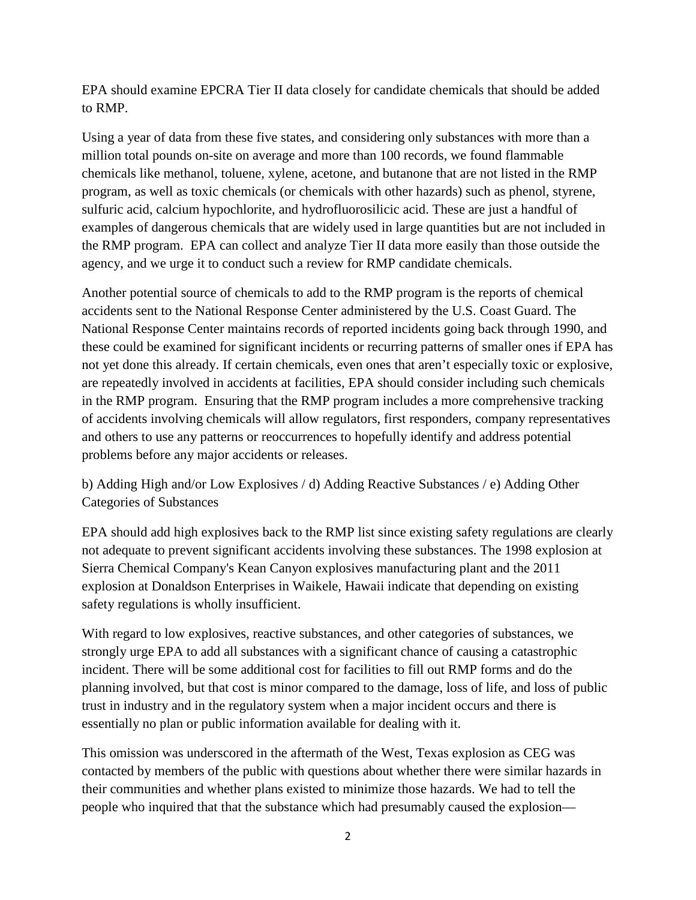EPA should examine EPCRA Tier II data closely for candidate chemicals that should be added to RMP.

Using a year of data from these five states, and considering only substances with more than a million total pounds on-site on average and more than 100 records, we found flammable chemicals like methanol, toluene, xylene, acetone, and butanone that are not listed in the RMP program, as well as toxic chemicals (or chemicals with other hazards) such as phenol, styrene, sulfuric acid, calcium hypochlorite, and hydrofluorosilicic acid. These are just a handful of examples of dangerous chemicals that are widely used in large quantities but are not included in the RMP program. EPA can collect and analyze Tier II data more easily than those outside the agency, and we urge it to conduct such a review for RMP candidate chemicals.

Another potential source of chemicals to add to the RMP program is the reports of chemical accidents sent to the National Response Center administered by the U.S. Coast Guard. The National Response Center maintains records of reported incidents going back through 1990, and these could be examined for significant incidents or recurring patterns of smaller ones if EPA has not yet done this already. If certain chemicals, even ones that aren't especially toxic or explosive, are repeatedly involved in accidents at facilities, EPA should consider including such chemicals in the RMP program. Ensuring that the RMP program includes a more comprehensive tracking of accidents involving chemicals will allow regulators, first responders, company representatives and others to use any patterns or reoccurrences to hopefully identify and address potential problems before any major accidents or releases.

b) Adding High and/or Low Explosives / d) Adding Reactive Substances / e) Adding Other Categories of Substances

EPA should add high explosives back to the RMP list since existing safety regulations are clearly not adequate to prevent significant accidents involving these substances. The 1998 explosion at Sierra Chemical Company's Kean Canyon explosives manufacturing plant and the 2011 explosion at Donaldson Enterprises in Waikele, Hawaii indicate that depending on existing safety regulations is wholly insufficient.

With regard to low explosives, reactive substances, and other categories of substances, we strongly urge EPA to add all substances with a significant chance of causing a catastrophic incident. There will be some additional cost for facilities to fill out RMP forms and do the planning involved, but that cost is minor compared to the damage, loss of life, and loss of public trust in industry and in the regulatory system when a major incident occurs and there is essentially no plan or public information available for dealing with it.

This omission was underscored in the aftermath of the West, Texas explosion as CEG was contacted by members of the public with questions about whether there were similar hazards in their communities and whether plans existed to minimize those hazards. We had to tell the people who inquired that that the substance which had presumably caused the explosion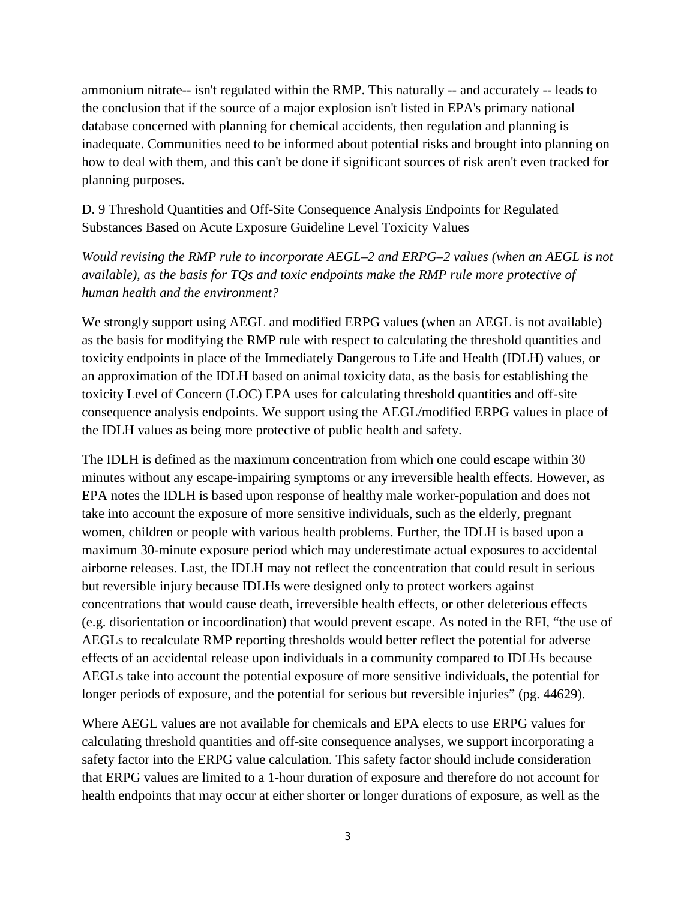ammonium nitrate-- isn't regulated within the RMP. This naturally -- and accurately -- leads to the conclusion that if the source of a major explosion isn't listed in EPA's primary national database concerned with planning for chemical accidents, then regulation and planning is inadequate. Communities need to be informed about potential risks and brought into planning on how to deal with them, and this can't be done if significant sources of risk aren't even tracked for planning purposes.

D. 9 Threshold Quantities and Off-Site Consequence Analysis Endpoints for Regulated Substances Based on Acute Exposure Guideline Level Toxicity Values

*Would revising the RMP rule to incorporate AEGL–2 and ERPG–2 values (when an AEGL is not available), as the basis for TQs and toxic endpoints make the RMP rule more protective of human health and the environment?*

We strongly support using AEGL and modified ERPG values (when an AEGL is not available) as the basis for modifying the RMP rule with respect to calculating the threshold quantities and toxicity endpoints in place of the Immediately Dangerous to Life and Health (IDLH) values, or an approximation of the IDLH based on animal toxicity data, as the basis for establishing the toxicity Level of Concern (LOC) EPA uses for calculating threshold quantities and off-site consequence analysis endpoints. We support using the AEGL/modified ERPG values in place of the IDLH values as being more protective of public health and safety.

The IDLH is defined as the maximum concentration from which one could escape within 30 minutes without any escape-impairing symptoms or any irreversible health effects. However, as EPA notes the IDLH is based upon response of healthy male worker-population and does not take into account the exposure of more sensitive individuals, such as the elderly, pregnant women, children or people with various health problems. Further, the IDLH is based upon a maximum 30-minute exposure period which may underestimate actual exposures to accidental airborne releases. Last, the IDLH may not reflect the concentration that could result in serious but reversible injury because IDLHs were designed only to protect workers against concentrations that would cause death, irreversible health effects, or other deleterious effects (e.g. disorientation or incoordination) that would prevent escape. As noted in the RFI, "the use of AEGLs to recalculate RMP reporting thresholds would better reflect the potential for adverse effects of an accidental release upon individuals in a community compared to IDLHs because AEGLs take into account the potential exposure of more sensitive individuals, the potential for longer periods of exposure, and the potential for serious but reversible injuries" (pg. 44629).

Where AEGL values are not available for chemicals and EPA elects to use ERPG values for calculating threshold quantities and off-site consequence analyses, we support incorporating a safety factor into the ERPG value calculation. This safety factor should include consideration that ERPG values are limited to a 1-hour duration of exposure and therefore do not account for health endpoints that may occur at either shorter or longer durations of exposure, as well as the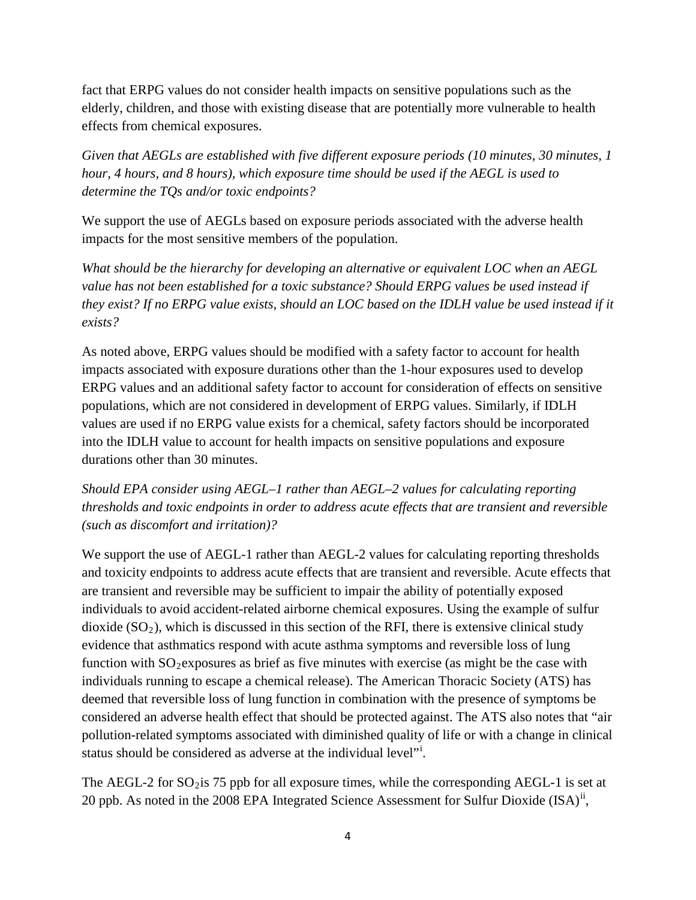fact that ERPG values do not consider health impacts on sensitive populations such as the elderly, children, and those with existing disease that are potentially more vulnerable to health effects from chemical exposures.

*Given that AEGLs are established with five different exposure periods (10 minutes, 30 minutes, 1 hour, 4 hours, and 8 hours), which exposure time should be used if the AEGL is used to determine the TQs and/or toxic endpoints?*

We support the use of AEGLs based on exposure periods associated with the adverse health impacts for the most sensitive members of the population.

*What should be the hierarchy for developing an alternative or equivalent LOC when an AEGL value has not been established for a toxic substance? Should ERPG values be used instead if they exist? If no ERPG value exists, should an LOC based on the IDLH value be used instead if it exists?*

As noted above, ERPG values should be modified with a safety factor to account for health impacts associated with exposure durations other than the 1-hour exposures used to develop ERPG values and an additional safety factor to account for consideration of effects on sensitive populations, which are not considered in development of ERPG values. Similarly, if IDLH values are used if no ERPG value exists for a chemical, safety factors should be incorporated into the IDLH value to account for health impacts on sensitive populations and exposure durations other than 30 minutes.

*Should EPA consider using AEGL–1 rather than AEGL–2 values for calculating reporting thresholds and toxic endpoints in order to address acute effects that are transient and reversible (such as discomfort and irritation)?*

We support the use of AEGL-1 rather than AEGL-2 values for calculating reporting thresholds and toxicity endpoints to address acute effects that are transient and reversible. Acute effects that are transient and reversible may be sufficient to impair the ability of potentially exposed individuals to avoid accident-related airborne chemical exposures. Using the example of sulfur dioxide  $(SO_2)$ , which is discussed in this section of the RFI, there is extensive clinical study evidence that asthmatics respond with acute asthma symptoms and reversible loss of lung function with  $SO_2$  exposures as brief as five minutes with exercise (as might be the case with individuals running to escape a chemical release). The American Thoracic Society (ATS) has deemed that reversible loss of lung function in combination with the presence of symptoms be considered an adverse health effect that should be protected against. The ATS also notes that "air pollution-related symptoms associated with diminished quality of life or with a change in clinical status should be cons[i](#page-4-0)dered as adverse at the individual level"<sup>i</sup>.

The AEGL-2 for  $SO_2$  is 75 ppb for all exposure times, while the corresponding AEGL-1 is set at 20 ppb. As noted in the 2008 EPA Integrated Science Assessment for Sulfur Dioxide  $(ISA)^{ii}$  $(ISA)^{ii}$  $(ISA)^{ii}$ ,